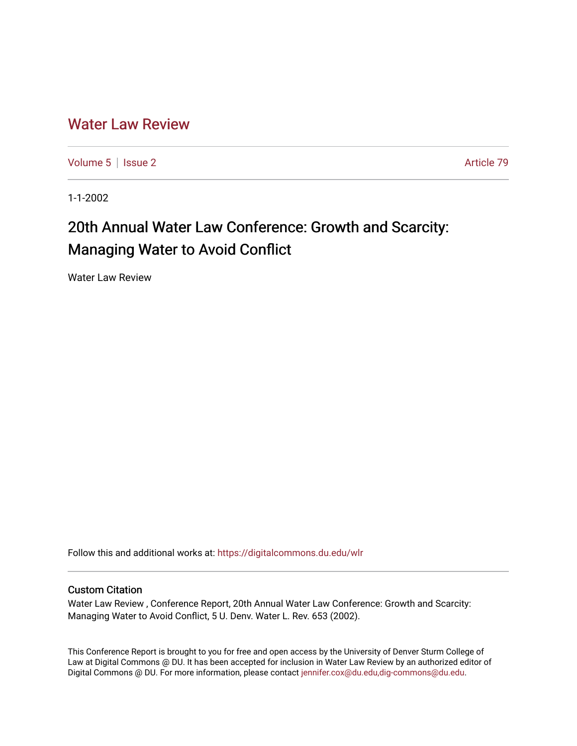## [Water Law Review](https://digitalcommons.du.edu/wlr)

[Volume 5](https://digitalcommons.du.edu/wlr/vol5) | [Issue 2](https://digitalcommons.du.edu/wlr/vol5/iss2) Article 79

1-1-2002

# 20th Annual Water Law Conference: Growth and Scarcity: Managing Water to Avoid Conflict

Water Law Review

Follow this and additional works at: [https://digitalcommons.du.edu/wlr](https://digitalcommons.du.edu/wlr?utm_source=digitalcommons.du.edu%2Fwlr%2Fvol5%2Fiss2%2F79&utm_medium=PDF&utm_campaign=PDFCoverPages) 

#### Custom Citation

Water Law Review , Conference Report, 20th Annual Water Law Conference: Growth and Scarcity: Managing Water to Avoid Conflict, 5 U. Denv. Water L. Rev. 653 (2002).

This Conference Report is brought to you for free and open access by the University of Denver Sturm College of Law at Digital Commons @ DU. It has been accepted for inclusion in Water Law Review by an authorized editor of Digital Commons @ DU. For more information, please contact [jennifer.cox@du.edu,dig-commons@du.edu](mailto:jennifer.cox@du.edu,dig-commons@du.edu).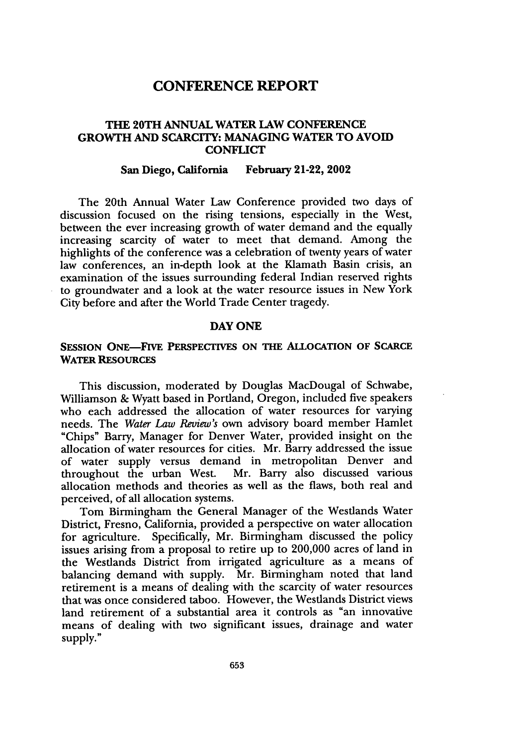### **CONFERENCE REPORT**

#### **THE 20TH ANNUAL WATER LAW CONFERENCE GROWTH AND SCARCITY: MANAGING WATER TO AVOID CONFLICT**

#### **San Diego, California February 21-22, 2002**

The 20th Annual Water Law Conference provided two days of discussion focused on the rising tensions, especially in the West, between the ever increasing growth of water demand and the equally increasing scarcity of water to meet that demand. Among the highlights of the conference was a celebration of twenty years of water law conferences, an in-depth look at the Klamath Basin crisis, an examination of the issues surrounding federal Indian reserved rights to groundwater and a look at the water resource issues in New York City before and after the World Trade Center tragedy.

#### **DAY ONE**

#### **SESSION ONE-FIVE PERSPECTIVES ON THE ALLOCATION OF SCARCE WATER RESOURCES**

This discussion, moderated by Douglas MacDougal of Schwabe, Williamson **&** Wyatt based in Portland, Oregon, included five speakers who each addressed the allocation of water resources for varying needs. The *Water Law Review's* own advisory board member Hamlet "Chips" Barry, Manager for Denver Water, provided insight on the allocation of water resources for cities. Mr. Barry addressed the issue of water supply versus demand in metropolitan Denver and<br>throughout the urban West. Mr. Barry also discussed various Mr. Barry also discussed various allocation methods and theories as well as the flaws, both real and perceived, of all allocation systems.

Tom Birmingham the General Manager of the Westlands Water District, Fresno, California, provided a perspective on water allocation for agriculture. Specifically, Mr. Birmingham discussed the policy issues arising from a proposal to retire up to 200,000 acres of land in the Westlands District from irrigated agriculture as a means of balancing demand with supply. Mr. Birmingham noted that land retirement is a means of dealing with the scarcity of water resources that was once considered taboo. However, the Westlands District views land retirement of a substantial area it controls as "an innovative means of dealing with two significant issues, drainage and water supply."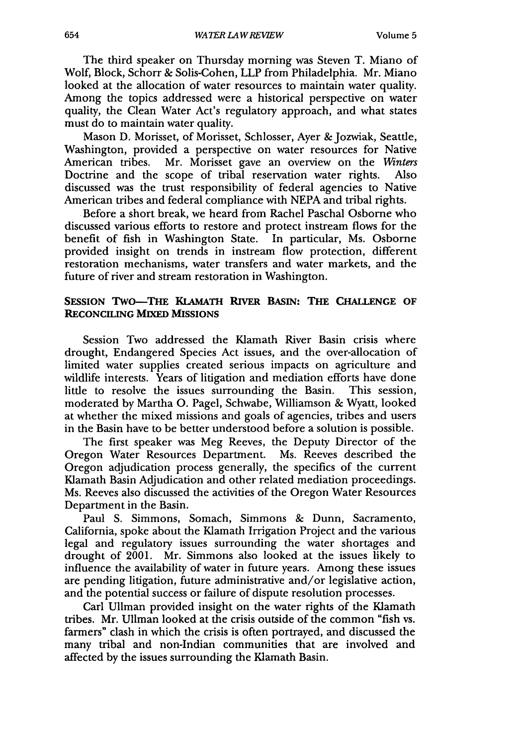The third speaker on Thursday morning was Steven T. Miano of Wolf, Block, Schorr & Solis-Cohen, LLP from Philadelphia. Mr. Miano looked at the allocation of water resources to maintain water quality. Among the topics addressed were a historical perspective on water quality, the Clean Water Act's regulatory approach, and what states must do to maintain water quality.

Mason D. Morisset, of Morisset, Schlosser, Ayer & Jozwiak, Seattle, Washington, provided a perspective on water resources for Native American tribes. Mr. Morisset gave an overview on the *Winters* Doctrine and the scope of tribal reservation water rights. Also discussed was the trust responsibility of federal agencies to Native American tribes and federal compliance with NEPA and tribal rights.

Before a short break, we heard from Rachel Paschal Osborne who discussed various efforts to restore and protect instream flows for the benefit of fish in Washington State. In particular, Ms. Osborne provided insight on trends in instream flow protection, different restoration mechanisms, water transfers and water markets, and the future of river and stream restoration in Washington.

#### **SESSION** TWO-THE **KLAMATH RIVER BASIN: THE CHALLENGE OF RECONCILING MIXED MISSIONS**

Session Two addressed the Klamath River Basin crisis where drought, Endangered Species Act issues, and the over-allocation of limited water supplies created serious impacts on agriculture and wildlife interests. Years of litigation and mediation efforts have done little to resolve the issues surrounding the Basin. This session, moderated by Martha **0.** Pagel, Schwabe, Williamson & Wyatt, looked at whether the mixed missions and goals of agencies, tribes and users in the Basin have to be better understood before a solution is possible.

The first speaker was Meg Reeves, the Deputy Director of the Oregon Water Resources Department. Ms. Reeves described the Oregon adjudication process generally, the specifics of the current Klamath Basin Adjudication and other related mediation proceedings. Ms. Reeves also discussed the activities of the Oregon Water Resources Department in the Basin.

Paul S. Simmons, Somach, Simmons & Dunn, Sacramento, California, spoke about the Klamath Irrigation Project and the various legal and regulatory issues surrounding the water shortages and drought of 2001. Mr. Simmons also looked at the issues likely to influence the availability of water in future years. Among these issues are pending litigation, future administrative and/or legislative action, and the potential success or failure of dispute resolution processes.

Carl Ullman provided insight on the water rights of the Klamath tribes. Mr. Ullman looked at the crisis outside of the common "fish vs. farmers" clash in which the crisis is often portrayed, and discussed the many tribal and non-Indian communities that are involved and affected by the issues surrounding the Klamath Basin.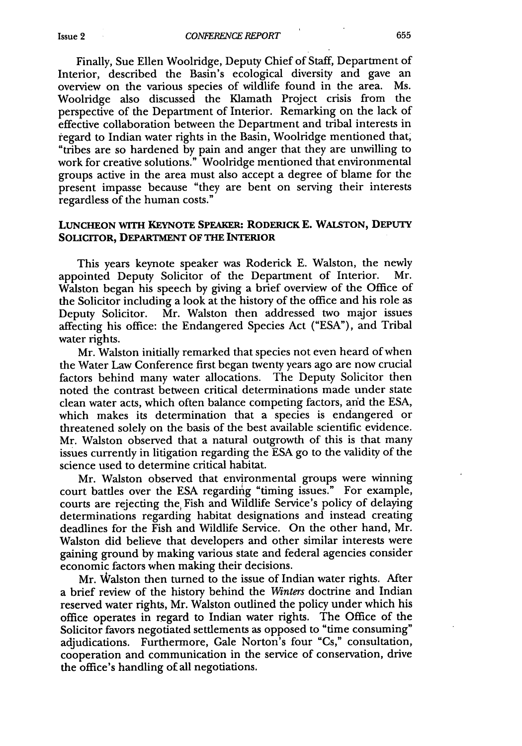Finally, Sue Ellen Woolridge, Deputy Chief of Staff, Department of Interior, described the Basin's ecological diversity and gave an overview on the various species of wildlife found in the area. Ms. Woolridge also discussed the Klamath Project crisis from the perspective of the Department of Interior. Remarking on the lack of effective collaboration between the Department and tribal interests in regard to Indian water rights in the Basin, Woolridge mentioned that, "tribes are so hardened by pain and anger that they are unwilling to work for creative solutions." Woolridge mentioned that environmental groups active in the area must also accept a degree of blame for the present impasse because "they are bent on serving their interests regardless of the human costs."

#### **LUNCHEON WITH KEYNOTE SPEAKER: RODERICK E. WALSTON, DEPUTY SOLICITOR, DEPARTMENT OF THE INTERIOR**

This years keynote speaker was Roderick **E.** Walston, the newly appointed Deputy Solicitor of the Department of Interior. Mr. Walston began his speech by giving a brief overview of the Office of the Solicitor including a look at the history of the office and his role as Deputy Solicitor. Mr. Walston then addressed two major issues affecting his office: the Endangered Species Act ("ESA"), and Tribal water rights.

Mr. Walston initially remarked that species not even heard of when the Water Law Conference first began twenty years ago are now crucial factors behind many water allocations. The Deputy Solicitor then noted the contrast between critical determinations made under state clean water acts, which often balance competing factors, and the ESA, which makes its determination that a species is endangered or threatened solely on the basis of the best available scientific evidence. Mr. Walston observed that a natural outgrowth of this is that many issues currently in litigation regarding the ESA go to the validity of the science used to determine critical habitat.

Mr. Walston observed that environmental groups were winning court battles over the ESA regarding "timing issues." For example, courts are rejecting the, Fish and Wildlife Service's policy of delaying determinations regarding habitat designations and instead creating deadlines for the Fish and Wildlife Service. On the other hand, Mr. Walston did believe that developers and other similar interests were gaining ground by making various state and federal agencies consider economic factors when making their decisions.

Mr. Walston then turned to the issue of Indian water rights. After a brief review of the history behind the *Winters* doctrine and Indian reserved water rights, Mr. Walston outlined the policy under which his office operates in regard to Indian water rights. The Office of the Solicitor favors negotiated settlements as opposed to "time consuming" adjudications. Furthermore, Gale Norton's four "Cs," consultation, cooperation and communication in the service of conservation, drive the office's handling of all negotiations.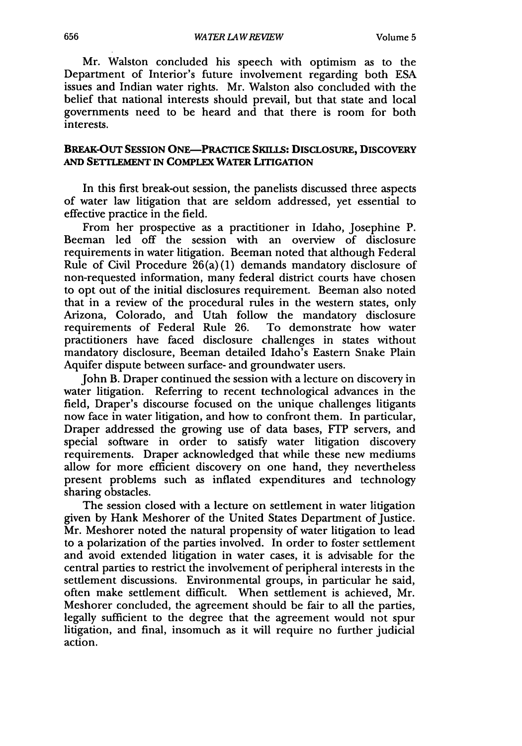Mr. Walston concluded his speech with optimism as to the Department of Interior's future involvement regarding both ESA issues and Indian water rights. Mr. Walston also concluded with the belief that national interests should prevail, but that state and local governments need to be heard and that there is room for both interests.

#### **BREAK-OUT SESSION ONE--PRACTICE SKILLS: DISCLOSURE, DISCOVERY AND SETTLEMENT IN COMPLEX WATER LITIGATION**

In this first break-out session, the panelists discussed three aspects of water law litigation that are seldom addressed, yet essential to effective practice in the field.

From her prospective as a practitioner in Idaho, Josephine P. Beeman led off the session with an overview of disclosure requirements in water litigation. Beeman noted that although Federal Rule of Civil Procedure 26(a) (1) demands mandatory disclosure of non-requested information, many federal district courts have chosen to opt out of the initial disclosures requirement. Beeman also noted that in a review of the procedural rules in the western states, only Arizona, Colorado, and Utah follow the mandatory disclosure requirements of Federal Rule 26. To demonstrate how water practitioners have faced disclosure challenges in states without mandatory disclosure, Beeman detailed Idaho's Eastern Snake Plain Aquifer dispute between surface- and groundwater users.

John B. Draper continued the session with a lecture on discovery in water litigation. Referring to recent technological advances in the field, Draper's discourse focused on the unique challenges litigants now face in water litigation, and how to confront them. In particular, Draper addressed the growing use of data bases, FTP servers, and special software in order to satisfy water litigation discovery requirements. Draper acknowledged that while these new mediums allow for more efficient discovery on one hand, they nevertheless present problems such as inflated expenditures and technology sharing obstacles.

The session closed with a lecture on settlement in water litigation given by Hank Meshorer of the United States Department of Justice. Mr. Meshorer noted the natural propensity of water litigation to lead to a polarization of the parties involved. In order to foster settlement and avoid extended litigation in water cases, it is advisable for the central parties to restrict the involvement of peripheral interests in the settlement discussions. Environmental groups, in particular he said, often make settlement difficult. When settlement is achieved, Mr. Meshorer concluded, the agreement should be fair to all the parties, legally sufficient to the degree that the agreement would not spur litigation, and final, insomuch as it will require no further judicial action.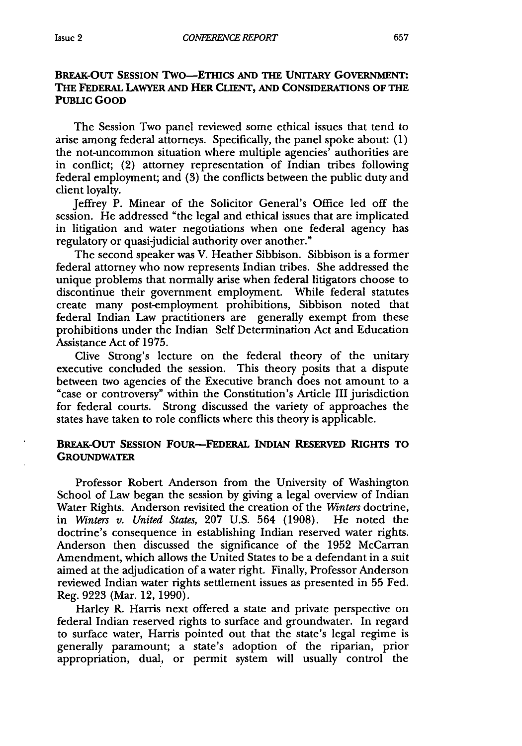#### **BREAK-OUT SESSION Two-ETHICS AND THE UNITARY GOVERNMENT: THE FEDERAL LAWYER AND HER CLIENT, AND CONSIDERATIONS OF THE PUBLIC GOOD**

The Session Two panel reviewed some ethical issues that tend to arise among federal attorneys. Specifically, the panel spoke about: (1) the not-uncommon situation where multiple agencies' authorities are in conflict; (2) attorney representation of Indian tribes following federal employment; and (3) the conflicts between the public duty and client loyalty.

Jeffrey P. Minear of the Solicitor General's Office led off the session. He addressed "the legal and ethical issues that are implicated in litigation and water negotiations when one federal agency has regulatory or quasi-judicial authority over another."

The second speaker was V. Heather Sibbison. Sibbison is a former federal attorney who now represents Indian tribes. She addressed the unique problems that normally arise when federal litigators choose to discontinue their government employment. While federal statutes create many post-employment prohibitions, Sibbison noted that federal Indian Law practitioners are generally exempt from these prohibitions under the Indian Self Determination Act and Education Assistance Act of **1975.**

Clive Strong's lecture on the federal theory of the unitary executive concluded the session. This theory posits that a dispute between two agencies of the Executive branch does not amount to a "case or controversy" within the Constitution's Article III jurisdiction for federal courts. Strong discussed the variety of approaches the states have taken to role conflicts where this theory is applicable.

#### **BREAK-OUT SESSION FOUR-FEDERAL INDIAN RESERVED RIGHTS TO GROUNDWATER**

Professor Robert Anderson from the University of Washington School of Law began the session by giving a legal overview of Indian Water Rights. Anderson revisited the creation of the *Winters* doctrine, in *Winters v. United States,* 207 U.S. 564 (1908). He noted the doctrine's consequence in establishing Indian reserved water rights. Anderson then discussed the significance of the 1952 McCarran Amendment, which allows the United States to be a defendant in a suit aimed at the adjudication of a water right. Finally, Professor Anderson reviewed Indian water rights settlement issues as presented in 55 Fed. Reg. 9223 (Mar. 12, 1990).

Harley R. Harris next offered a state and private perspective on federal Indian reserved rights to surface and groundwater. In regard to surface water, Harris pointed out that the state's legal regime is generally paramount; a state's adoption of the riparian, prior appropriation, dual, or permit system will usually control the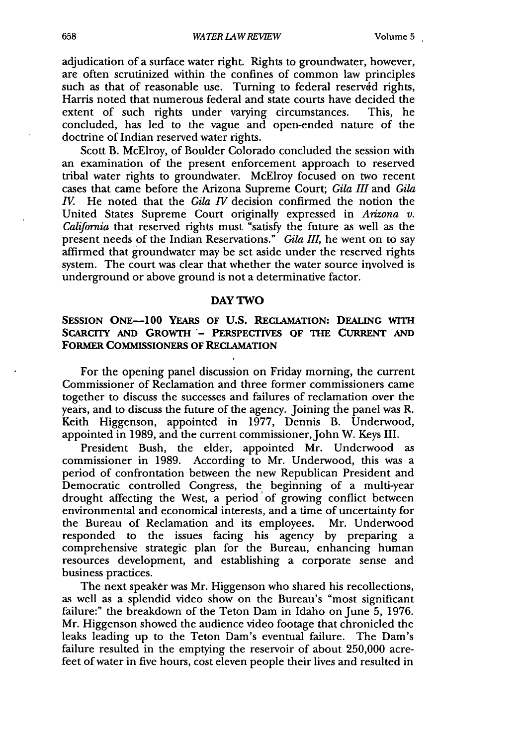adjudication of a surface water right. Rights to groundwater, however, are often scrutinized within the confines of common law principles such as that of reasonable use. Turning to federal reserved rights, Harris noted that numerous federal and state courts have decided the extent of such rights under varying circumstances. This, he concluded, has led to the vague and open-ended nature of the doctrine of Indian reserved water rights.

Scott B. McElroy, of Boulder Colorado concluded the session with an examination of the present enforcement approach to reserved tribal water rights to groundwater. McElroy focused on two recent cases that came before the Arizona Supreme Court; *Gila III* and *Gila IV.* He noted that the *Gila IV* decision confirmed the notion the United States Supreme Court originally expressed in *Arizona v. California* that reserved rights must "satisfy the future as well as the present needs of the Indian Reservations." *Gila III,* he went on to say affirmed that groundwater may be set aside under the reserved rights system. The court was clear that whether the water source involved is underground or above ground is not a determinative factor.

#### **DAY** TWO

#### **SESSION ONE-100 YEARS OF U.S. RECLAMATION: DEALING WITH** SCARCITY AND GROWTH - PERSPECTIVES OF THE CURRENT AND **FORMER COMMISSIONERS OF RECLAMATION**

For the opening panel discussion on Friday morning, the current Commissioner of Reclamation and three former commissioners came together to discuss the successes and failures of reclamation over the years, and to discuss the future of the agency. Joining the panel was R. Keith Higgenson, appointed in **1977,** Dennis B. Underwood, appointed in 1989, and the current commissioner, John W. Keys III.

President Bush, the elder, appointed Mr. Underwood as commissioner in 1989. According to Mr. Underwood, this was a period of confrontation between the new Republican President and Democratic controlled Congress, the beginning of a multi-year drought affecting the West, a period 'of growing conflict between environmental and economical interests, and a time of uncertainty for the Bureau of Reclamation and its employees. Mr. Underwood responded to the issues facing his agency by preparing a comprehensive strategic plan for the Bureau, enhancing human resources development, and establishing a corporate sense and business practices.

The next speaker was Mr. Higgenson who shared his recollections, as well as a splendid video show on the Bureau's "most significant failure:" the breakdown of the Teton Dam in Idaho on June 5, 1976. Mr. Higgenson showed the audience video footage that chronicled the leaks leading up to the Teton Dam's eventual failure. The Dam's failure resulted in the emptying the reservoir of about 250,000 acrefeet of water in five hours, cost eleven people their lives and resulted in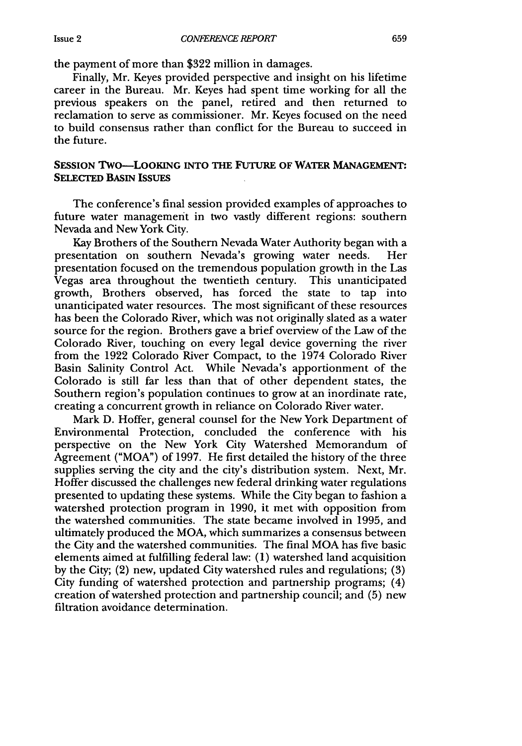the payment of more than \$322 million in damages.

Finally, Mr. Keyes provided perspective and insight on his lifetime career in the Bureau. Mr. Keyes had spent time working for all the previous speakers on the panel, retired and then returned to reclamation to serve as commissioner. Mr. Keyes focused on the need to build consensus rather than conflict for the Bureau to succeed in the future.

#### **SESSION TWO-LOOKING INTO THE FUTURE OF WATER MANAGEMENT: SELECTED BASIN ISSUES**

The conference's final session provided examples of approaches to future water management in two vastly different regions: southern Nevada and New York City.

Kay Brothers of the Southern Nevada Water Authority began with a presentation on southern Nevada's growing water needs. Her presentation focused on the tremendous population growth in the Las Vegas area throughout the twentieth century. This unanticipated growth, Brothers observed, has forced the state to tap into unanticipated water resources. The most significant of these resources has been the Colorado River, which was not originally slated as a water source for the region. Brothers gave a brief overview of the Law of the Colorado River, touching on every legal device governing the river from the 1922 Colorado River Compact, to the 1974 Colorado River Basin Salinity Control Act. While Nevada's apportionment of the Colorado is still far less than that of other dependent states, the Southern region's population continues to grow at an inordinate rate, creating a concurrent growth in reliance on Colorado River water.

Mark D. Hoffer, general counsel for the New York Department of Environmental Protection, concluded the conference with his perspective on the New York City Watershed Memorandum of Agreement ("MOA") of 1997. He first detailed the history of the three supplies serving the city and the city's distribution system. Next, Mr. Hoffer discussed the challenges new federal drinking water regulations presented to updating these systems. While the City began to fashion a watershed protection program in 1990, it met with opposition from the watershed communities. The state became involved in 1995, and ultimately produced the MOA, which summarizes a consensus between the City and the watershed communities. The final MOA has five basic elements aimed at fulfilling federal law: (1) watershed land acquisition by the City; (2) new, updated City watershed rules and regulations; (3) City funding of watershed protection and partnership programs; (4) creation of watershed protection and partnership council; and (5) new filtration avoidance determination.

Issue **2**